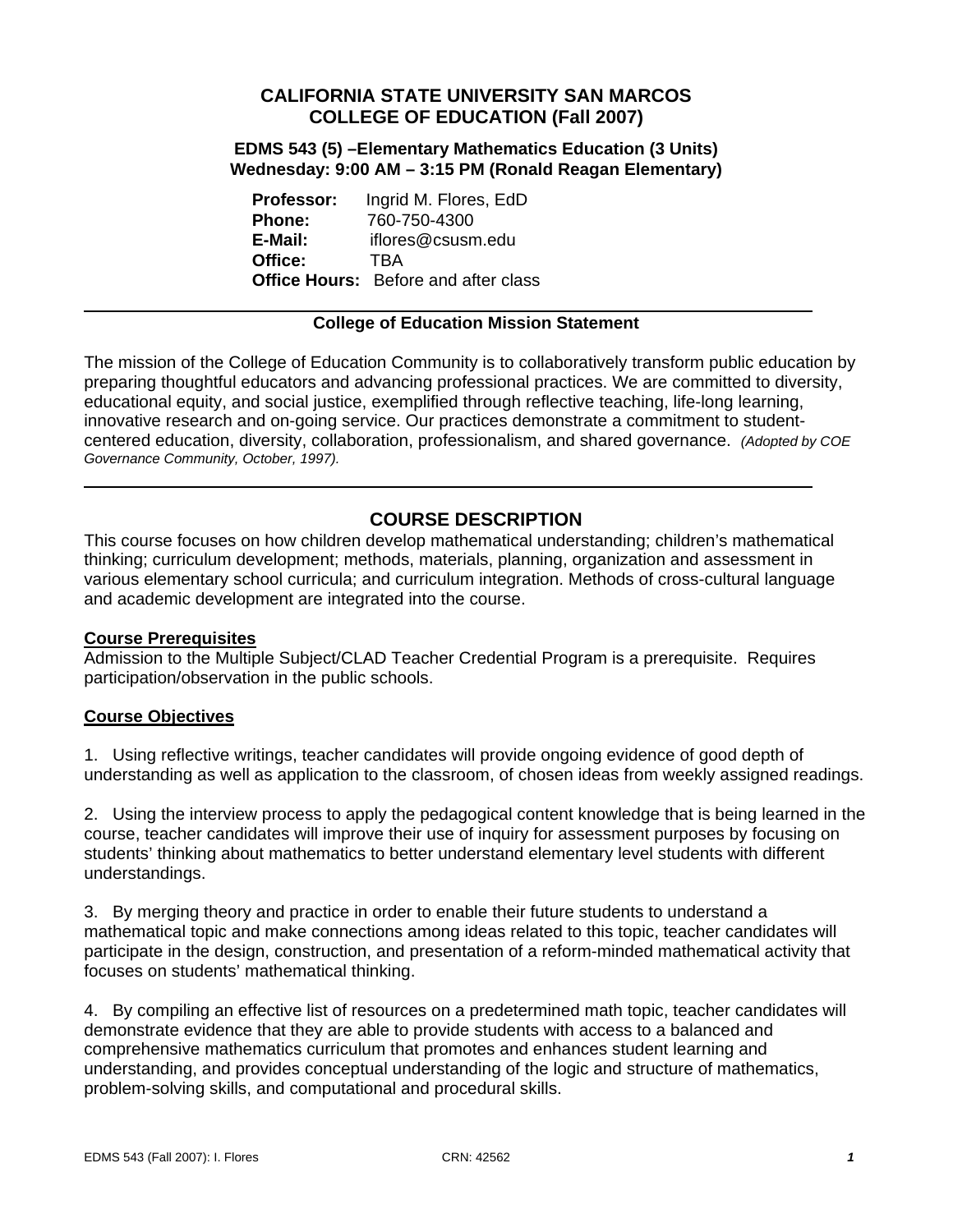# **CALIFORNIA STATE UNIVERSITY SAN MARCOS COLLEGE OF EDUCATION (Fall 2007)**

**EDMS 543 (5) –Elementary Mathematics Education (3 Units) Wednesday: 9:00 AM – 3:15 PM (Ronald Reagan Elementary)** 

**Professor:** Ingrid M. Flores, EdD **Phone:** 760-750-4300 **E-Mail:** iflores@csusm.edu **Office:** TBA **Office Hours:** Before and after class

#### **College of Education Mission Statement**

The mission of the College of Education Community is to collaboratively transform public education by preparing thoughtful educators and advancing professional practices. We are committed to diversity, educational equity, and social justice, exemplified through reflective teaching, life-long learning, innovative research and on-going service. Our practices demonstrate a commitment to studentcentered education, diversity, collaboration, professionalism, and shared governance. *(Adopted by COE Governance Community, October, 1997).* 

# **COURSE DESCRIPTION**

This course focuses on how children develop mathematical understanding; children's mathematical thinking; curriculum development; methods, materials, planning, organization and assessment in various elementary school curricula; and curriculum integration. Methods of cross-cultural language and academic development are integrated into the course.

#### **Course Prerequisites**

Admission to the Multiple Subject/CLAD Teacher Credential Program is a prerequisite. Requires participation/observation in the public schools.

#### **Course Objectives**

1. Using reflective writings, teacher candidates will provide ongoing evidence of good depth of understanding as well as application to the classroom, of chosen ideas from weekly assigned readings.

2. Using the interview process to apply the pedagogical content knowledge that is being learned in the course, teacher candidates will improve their use of inquiry for assessment purposes by focusing on students' thinking about mathematics to better understand elementary level students with different understandings.

3. By merging theory and practice in order to enable their future students to understand a mathematical topic and make connections among ideas related to this topic, teacher candidates will participate in the design, construction, and presentation of a reform-minded mathematical activity that focuses on students' mathematical thinking.

4. By compiling an effective list of resources on a predetermined math topic, teacher candidates will demonstrate evidence that they are able to provide students with access to a balanced and comprehensive mathematics curriculum that promotes and enhances student learning and understanding, and provides conceptual understanding of the logic and structure of mathematics, problem-solving skills, and computational and procedural skills.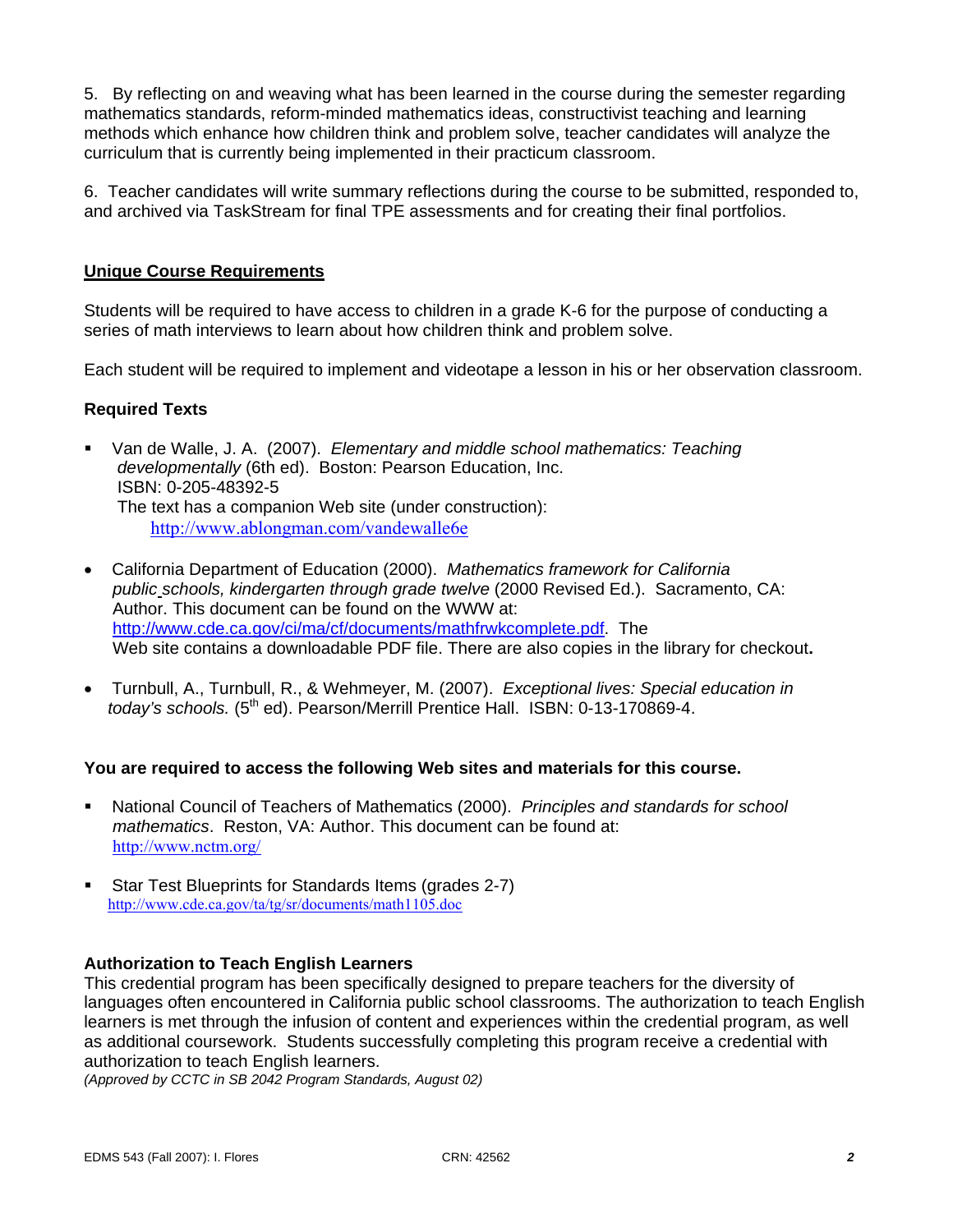5. By reflecting on and weaving what has been learned in the course during the semester regarding mathematics standards, reform-minded mathematics ideas, constructivist teaching and learning methods which enhance how children think and problem solve, teacher candidates will analyze the curriculum that is currently being implemented in their practicum classroom.

6. Teacher candidates will write summary reflections during the course to be submitted, responded to, and archived via TaskStream for final TPE assessments and for creating their final portfolios.

### **Unique Course Requirements**

Students will be required to have access to children in a grade K-6 for the purpose of conducting a series of math interviews to learn about how children think and problem solve.

Each student will be required to implement and videotape a lesson in his or her observation classroom.

#### **Required Texts**

- Van de Walle, J. A. (2007). *Elementary and middle school mathematics: Teaching developmentally* (6th ed). Boston: Pearson Education, Inc. ISBN: 0-205-48392-5 The text has a companion Web site (under construction): http://www.ablongman.com/vandewalle6e
- California Department of Education (2000). *Mathematics framework for California public schools, kindergarten through grade twelve* (2000 Revised Ed.). Sacramento, CA: Author. This document can be found on the WWW at: http://www.cde.ca.gov/ci/ma/cf/documents/mathfrwkcomplete.pdf. The Web site contains a downloadable PDF file. There are also copies in the library for checkout**.**
- Turnbull, A., Turnbull, R., & Wehmeyer, M. (2007). *Exceptional lives: Special education in today's schools.* (5<sup>th</sup> ed). Pearson/Merrill Prentice Hall. ISBN: 0-13-170869-4.

#### **You are required to access the following Web sites and materials for this course.**

- National Council of Teachers of Mathematics (2000). *Principles and standards for school mathematics*. Reston, VA: Author. This document can be found at: http://www.nctm.org/
- Star Test Blueprints for Standards Items (grades 2-7) http://www.cde.ca.gov/ta/tg/sr/documents/math1105.doc

#### **Authorization to Teach English Learners**

This credential program has been specifically designed to prepare teachers for the diversity of languages often encountered in California public school classrooms. The authorization to teach English learners is met through the infusion of content and experiences within the credential program, as well as additional coursework. Students successfully completing this program receive a credential with authorization to teach English learners.

*(Approved by CCTC in SB 2042 Program Standards, August 02)*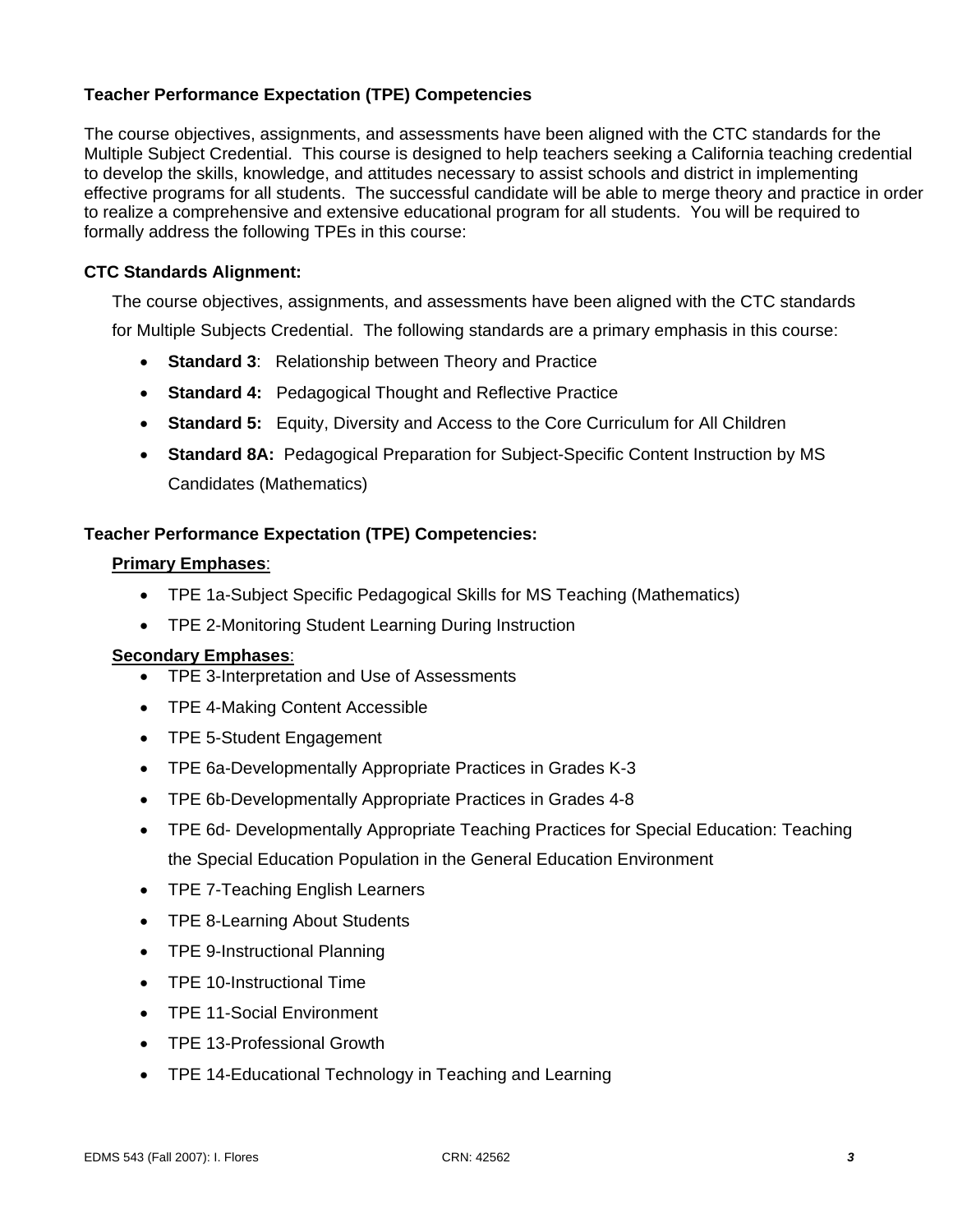## **Teacher Performance Expectation (TPE) Competencies**

The course objectives, assignments, and assessments have been aligned with the CTC standards for the Multiple Subject Credential. This course is designed to help teachers seeking a California teaching credential to develop the skills, knowledge, and attitudes necessary to assist schools and district in implementing effective programs for all students. The successful candidate will be able to merge theory and practice in order to realize a comprehensive and extensive educational program for all students. You will be required to formally address the following TPEs in this course:

#### **CTC Standards Alignment:**

The course objectives, assignments, and assessments have been aligned with the CTC standards

for Multiple Subjects Credential. The following standards are a primary emphasis in this course:

- **Standard 3**: Relationship between Theory and Practice
- **Standard 4:** Pedagogical Thought and Reflective Practice
- **Standard 5:** Equity, Diversity and Access to the Core Curriculum for All Children
- **Standard 8A:** Pedagogical Preparation for Subject-Specific Content Instruction by MS Candidates (Mathematics)

#### **Teacher Performance Expectation (TPE) Competencies:**

#### **Primary Emphases**:

- TPE 1a-Subject Specific Pedagogical Skills for MS Teaching (Mathematics)
- TPE 2-Monitoring Student Learning During Instruction

#### **Secondary Emphases**:

- TPE 3-Interpretation and Use of Assessments
- TPE 4-Making Content Accessible
- TPE 5-Student Engagement
- TPE 6a-Developmentally Appropriate Practices in Grades K-3
- TPE 6b-Developmentally Appropriate Practices in Grades 4-8
- TPE 6d- Developmentally Appropriate Teaching Practices for Special Education: Teaching the Special Education Population in the General Education Environment
- TPE 7-Teaching English Learners
- TPE 8-Learning About Students
- TPE 9-Instructional Planning
- TPE 10-Instructional Time
- TPE 11-Social Environment
- TPE 13-Professional Growth
- TPE 14-Educational Technology in Teaching and Learning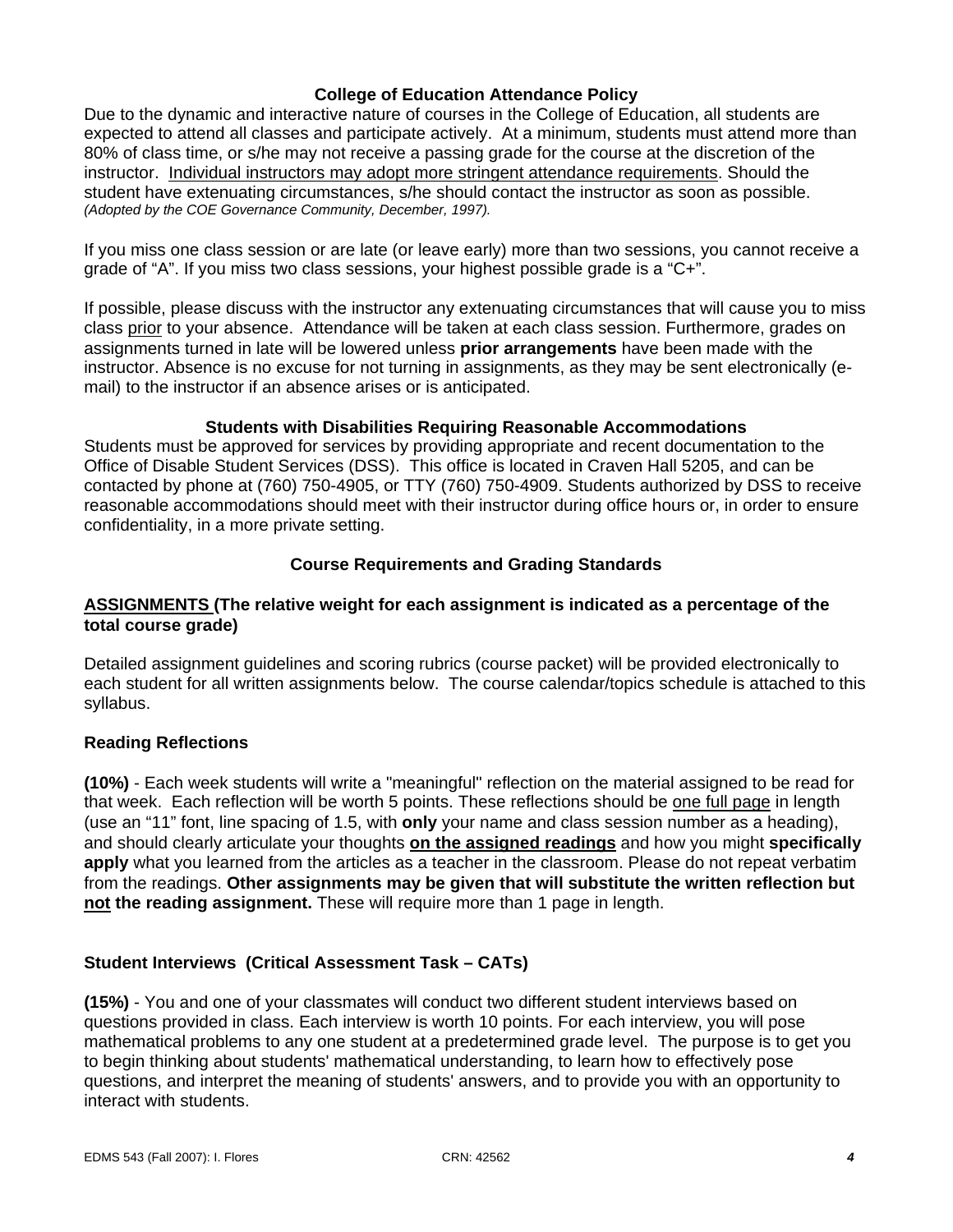### **College of Education Attendance Policy**

Due to the dynamic and interactive nature of courses in the College of Education, all students are expected to attend all classes and participate actively. At a minimum, students must attend more than 80% of class time, or s/he may not receive a passing grade for the course at the discretion of the instructor. Individual instructors may adopt more stringent attendance requirements. Should the student have extenuating circumstances, s/he should contact the instructor as soon as possible. *(Adopted by the COE Governance Community, December, 1997).*

If you miss one class session or are late (or leave early) more than two sessions, you cannot receive a grade of "A". If you miss two class sessions, your highest possible grade is a " $C_{+}$ ".

If possible, please discuss with the instructor any extenuating circumstances that will cause you to miss class prior to your absence. Attendance will be taken at each class session. Furthermore, grades on assignments turned in late will be lowered unless **prior arrangements** have been made with the instructor. Absence is no excuse for not turning in assignments, as they may be sent electronically (email) to the instructor if an absence arises or is anticipated.

#### **Students with Disabilities Requiring Reasonable Accommodations**

Students must be approved for services by providing appropriate and recent documentation to the Office of Disable Student Services (DSS). This office is located in Craven Hall 5205, and can be contacted by phone at (760) 750-4905, or TTY (760) 750-4909. Students authorized by DSS to receive reasonable accommodations should meet with their instructor during office hours or, in order to ensure confidentiality, in a more private setting.

#### **Course Requirements and Grading Standards**

#### **ASSIGNMENTS (The relative weight for each assignment is indicated as a percentage of the total course grade)**

Detailed assignment guidelines and scoring rubrics (course packet) will be provided electronically to each student for all written assignments below. The course calendar/topics schedule is attached to this syllabus.

#### **Reading Reflections**

**(10%)** - Each week students will write a "meaningful" reflection on the material assigned to be read for that week. Each reflection will be worth 5 points. These reflections should be one full page in length (use an "11" font, line spacing of 1.5, with **only** your name and class session number as a heading), and should clearly articulate your thoughts **on the assigned readings** and how you might **specifically apply** what you learned from the articles as a teacher in the classroom. Please do not repeat verbatim from the readings. **Other assignments may be given that will substitute the written reflection but not the reading assignment.** These will require more than 1 page in length.

## **Student Interviews (Critical Assessment Task – CATs)**

**(15%)** - You and one of your classmates will conduct two different student interviews based on questions provided in class. Each interview is worth 10 points. For each interview, you will pose mathematical problems to any one student at a predetermined grade level. The purpose is to get you to begin thinking about students' mathematical understanding, to learn how to effectively pose questions, and interpret the meaning of students' answers, and to provide you with an opportunity to interact with students.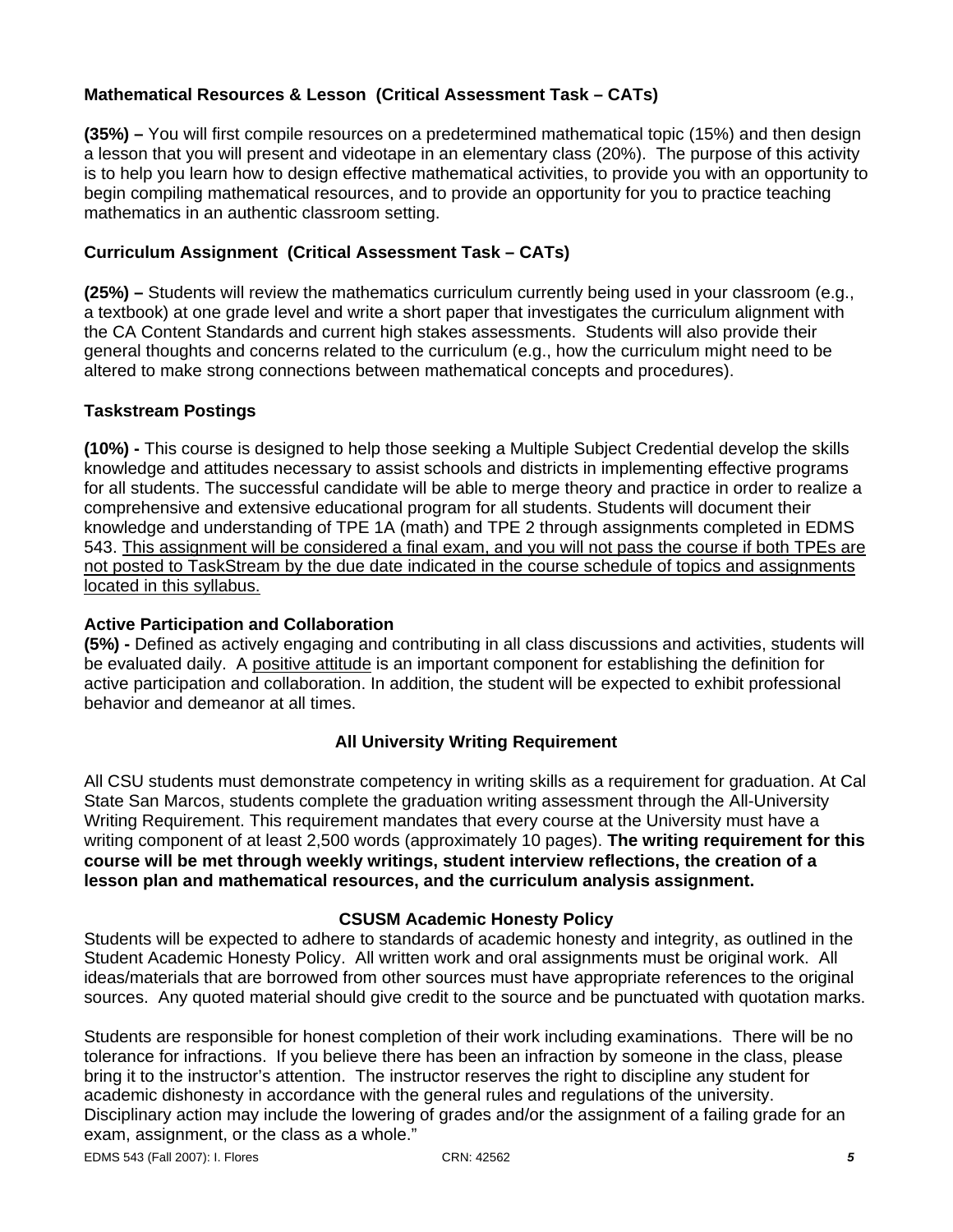# **Mathematical Resources & Lesson (Critical Assessment Task – CATs)**

**(35%) –** You will first compile resources on a predetermined mathematical topic (15%) and then design a lesson that you will present and videotape in an elementary class (20%). The purpose of this activity is to help you learn how to design effective mathematical activities, to provide you with an opportunity to begin compiling mathematical resources, and to provide an opportunity for you to practice teaching mathematics in an authentic classroom setting.

## **Curriculum Assignment (Critical Assessment Task – CATs)**

**(25%) –** Students will review the mathematics curriculum currently being used in your classroom (e.g., a textbook) at one grade level and write a short paper that investigates the curriculum alignment with the CA Content Standards and current high stakes assessments. Students will also provide their general thoughts and concerns related to the curriculum (e.g., how the curriculum might need to be altered to make strong connections between mathematical concepts and procedures).

## **Taskstream Postings**

**(10%) -** This course is designed to help those seeking a Multiple Subject Credential develop the skills knowledge and attitudes necessary to assist schools and districts in implementing effective programs for all students. The successful candidate will be able to merge theory and practice in order to realize a comprehensive and extensive educational program for all students. Students will document their knowledge and understanding of TPE 1A (math) and TPE 2 through assignments completed in EDMS 543. This assignment will be considered a final exam, and you will not pass the course if both TPEs are not posted to TaskStream by the due date indicated in the course schedule of topics and assignments located in this syllabus.

### **Active Participation and Collaboration**

**(5%) -** Defined as actively engaging and contributing in all class discussions and activities, students will be evaluated daily. A positive attitude is an important component for establishing the definition for active participation and collaboration. In addition, the student will be expected to exhibit professional behavior and demeanor at all times.

## **All University Writing Requirement**

All CSU students must demonstrate competency in writing skills as a requirement for graduation. At Cal State San Marcos, students complete the graduation writing assessment through the All-University Writing Requirement. This requirement mandates that every course at the University must have a writing component of at least 2,500 words (approximately 10 pages). **The writing requirement for this course will be met through weekly writings, student interview reflections, the creation of a lesson plan and mathematical resources, and the curriculum analysis assignment.**

#### **CSUSM Academic Honesty Policy**

Students will be expected to adhere to standards of academic honesty and integrity, as outlined in the Student Academic Honesty Policy. All written work and oral assignments must be original work. All ideas/materials that are borrowed from other sources must have appropriate references to the original sources. Any quoted material should give credit to the source and be punctuated with quotation marks.

Students are responsible for honest completion of their work including examinations. There will be no tolerance for infractions. If you believe there has been an infraction by someone in the class, please bring it to the instructor's attention. The instructor reserves the right to discipline any student for academic dishonesty in accordance with the general rules and regulations of the university. Disciplinary action may include the lowering of grades and/or the assignment of a failing grade for an exam, assignment, or the class as a whole."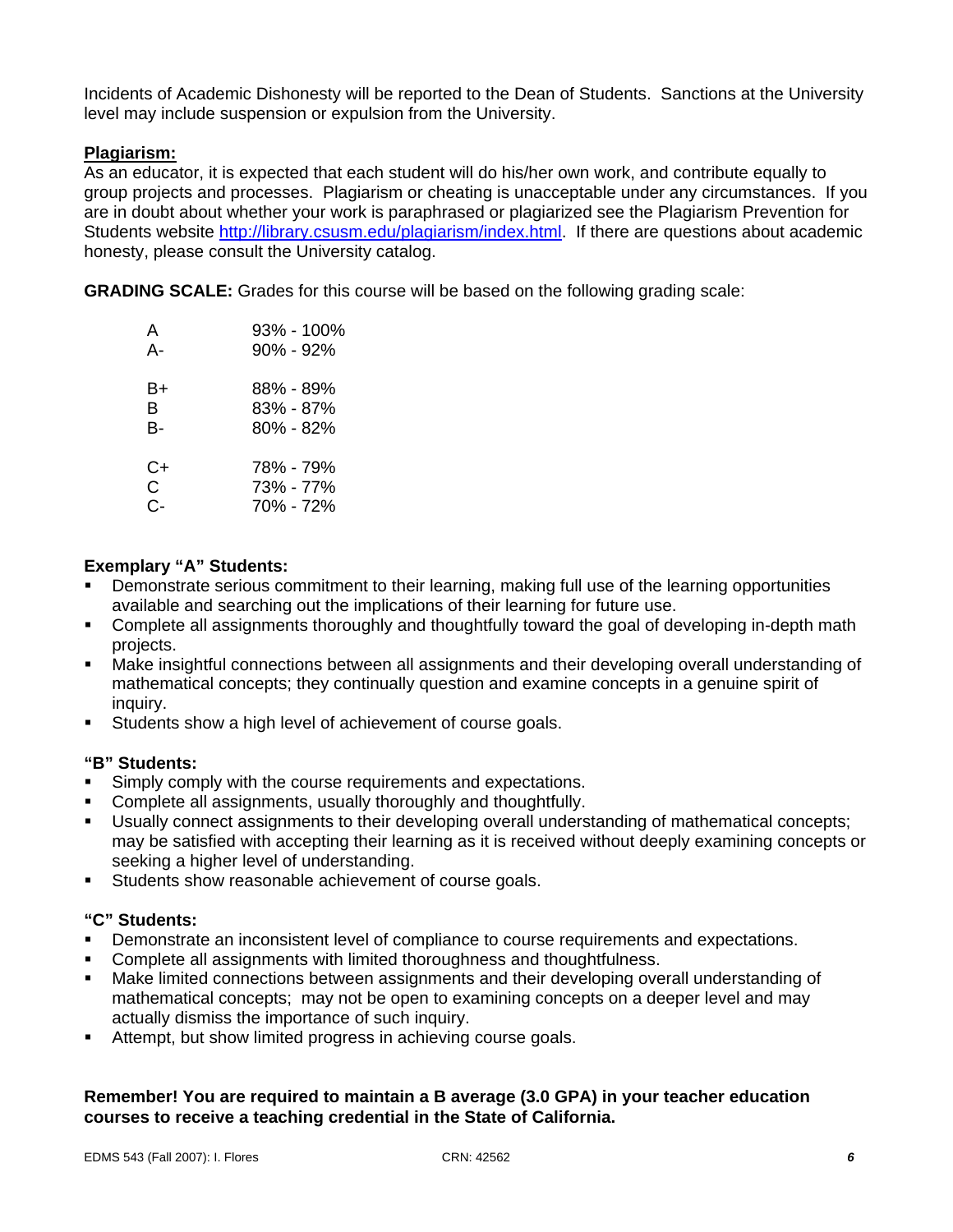Incidents of Academic Dishonesty will be reported to the Dean of Students. Sanctions at the University level may include suspension or expulsion from the University.

#### **Plagiarism:**

As an educator, it is expected that each student will do his/her own work, and contribute equally to group projects and processes. Plagiarism or cheating is unacceptable under any circumstances. If you are in doubt about whether your work is paraphrased or plagiarized see the Plagiarism Prevention for Students website http://library.csusm.edu/plagiarism/index.html. If there are questions about academic honesty, please consult the University catalog.

**GRADING SCALE:** Grades for this course will be based on the following grading scale:

| А    | 93% - 100% |
|------|------------|
| А-   | 90% - 92%  |
| B+   | 88% - 89%  |
| в    | 83% - 87%  |
| B-   | 80% - 82%  |
| $C+$ | 78% - 79%  |
| C    | 73% - 77%  |
| င-   | 70% - 72%  |

#### **Exemplary "A" Students:**

- Demonstrate serious commitment to their learning, making full use of the learning opportunities available and searching out the implications of their learning for future use.
- Complete all assignments thoroughly and thoughtfully toward the goal of developing in-depth math projects.
- Make insightful connections between all assignments and their developing overall understanding of mathematical concepts; they continually question and examine concepts in a genuine spirit of inquiry.
- Students show a high level of achievement of course goals.

#### **"B" Students:**

- Simply comply with the course requirements and expectations.
- Complete all assignments, usually thoroughly and thoughtfully.
- Usually connect assignments to their developing overall understanding of mathematical concepts; may be satisfied with accepting their learning as it is received without deeply examining concepts or seeking a higher level of understanding.
- **Students show reasonable achievement of course goals.**

#### **"C" Students:**

- Demonstrate an inconsistent level of compliance to course requirements and expectations.
- Complete all assignments with limited thoroughness and thoughtfulness.
- Make limited connections between assignments and their developing overall understanding of mathematical concepts; may not be open to examining concepts on a deeper level and may actually dismiss the importance of such inquiry.
- Attempt, but show limited progress in achieving course goals.

## **Remember! You are required to maintain a B average (3.0 GPA) in your teacher education courses to receive a teaching credential in the State of California.**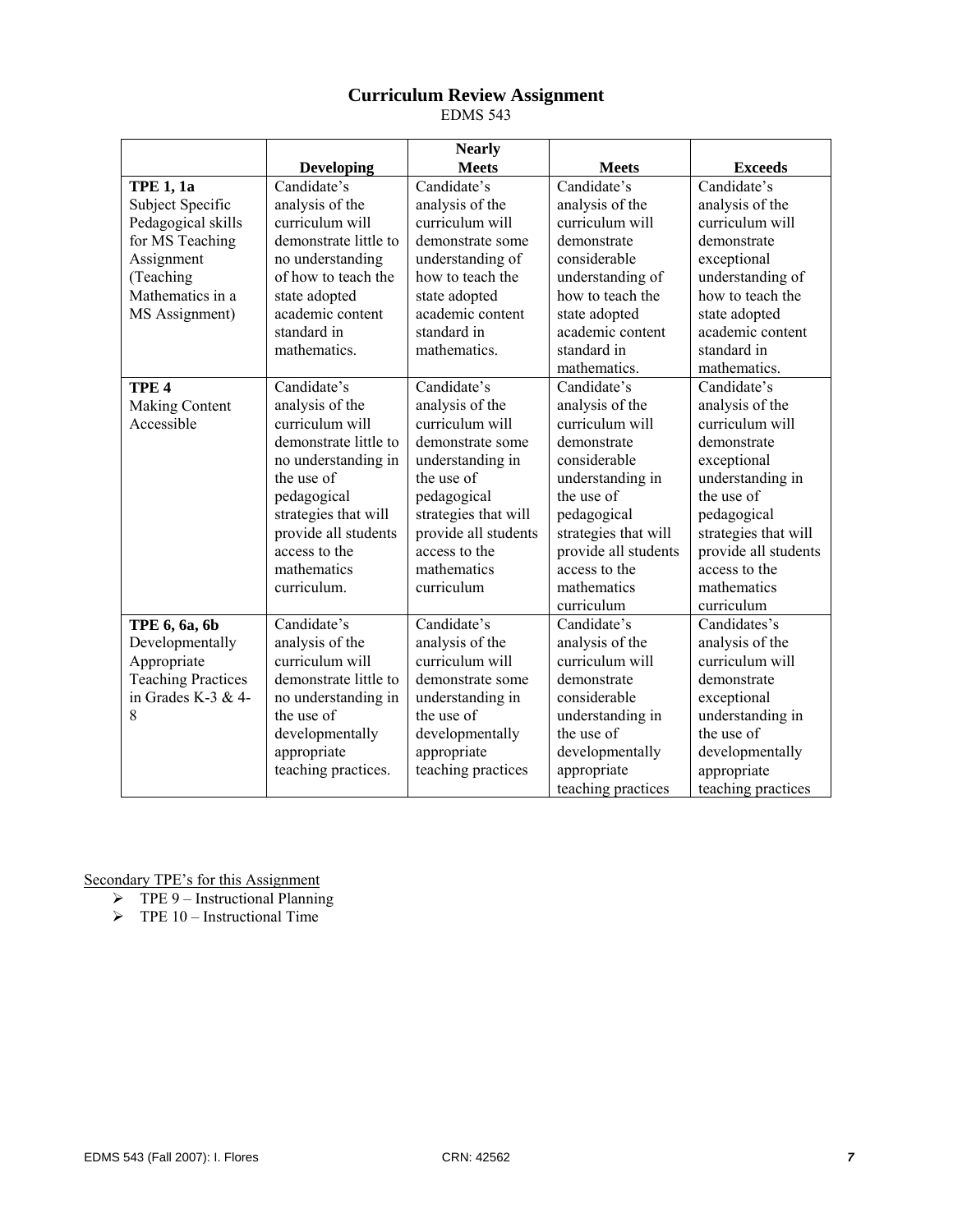## **Curriculum Review Assignment**

EDMS 543

|                           |                       | <b>Nearly</b>        |                      |                      |
|---------------------------|-----------------------|----------------------|----------------------|----------------------|
|                           | <b>Developing</b>     | <b>Meets</b>         | <b>Meets</b>         | <b>Exceeds</b>       |
| <b>TPE 1, 1a</b>          | Candidate's           | Candidate's          | Candidate's          | Candidate's          |
| Subject Specific          | analysis of the       | analysis of the      | analysis of the      | analysis of the      |
| Pedagogical skills        | curriculum will       | curriculum will      | curriculum will      | curriculum will      |
| for MS Teaching           | demonstrate little to | demonstrate some     | demonstrate          | demonstrate          |
| Assignment                | no understanding      | understanding of     | considerable         | exceptional          |
| (Teaching                 | of how to teach the   | how to teach the     | understanding of     | understanding of     |
| Mathematics in a          | state adopted         | state adopted        | how to teach the     | how to teach the     |
| MS Assignment)            | academic content      | academic content     | state adopted        | state adopted        |
|                           | standard in           | standard in          | academic content     | academic content     |
|                           | mathematics.          | mathematics.         | standard in          | standard in          |
|                           |                       |                      | mathematics.         | mathematics.         |
| TPE <sub>4</sub>          | Candidate's           | Candidate's          | Candidate's          | Candidate's          |
| <b>Making Content</b>     | analysis of the       | analysis of the      | analysis of the      | analysis of the      |
| Accessible                | curriculum will       | curriculum will      | curriculum will      | curriculum will      |
|                           | demonstrate little to | demonstrate some     | demonstrate          | demonstrate          |
|                           | no understanding in   | understanding in     | considerable         | exceptional          |
|                           | the use of            | the use of           | understanding in     | understanding in     |
|                           | pedagogical           | pedagogical          | the use of           | the use of           |
|                           | strategies that will  | strategies that will | pedagogical          | pedagogical          |
|                           | provide all students  | provide all students | strategies that will | strategies that will |
|                           | access to the         | access to the        | provide all students | provide all students |
|                           | mathematics           | mathematics          | access to the        | access to the        |
|                           | curriculum.           | curriculum           | mathematics          | mathematics          |
|                           |                       |                      | curriculum           | curriculum           |
| TPE 6, 6a, 6b             | Candidate's           | Candidate's          | Candidate's          | Candidates's         |
| Developmentally           | analysis of the       | analysis of the      | analysis of the      | analysis of the      |
| Appropriate               | curriculum will       | curriculum will      | curriculum will      | curriculum will      |
| <b>Teaching Practices</b> | demonstrate little to | demonstrate some     | demonstrate          | demonstrate          |
| in Grades K-3 & 4-        | no understanding in   | understanding in     | considerable         | exceptional          |
| 8                         | the use of            | the use of           | understanding in     | understanding in     |
|                           | developmentally       | developmentally      | the use of           | the use of           |
|                           | appropriate           | appropriate          | developmentally      | developmentally      |
|                           | teaching practices.   | teaching practices   | appropriate          | appropriate          |
|                           |                       |                      | teaching practices   | teaching practices   |

- $\triangleright$  TPE 9 Instructional Planning
- $\triangleright$  TPE 10 Instructional Time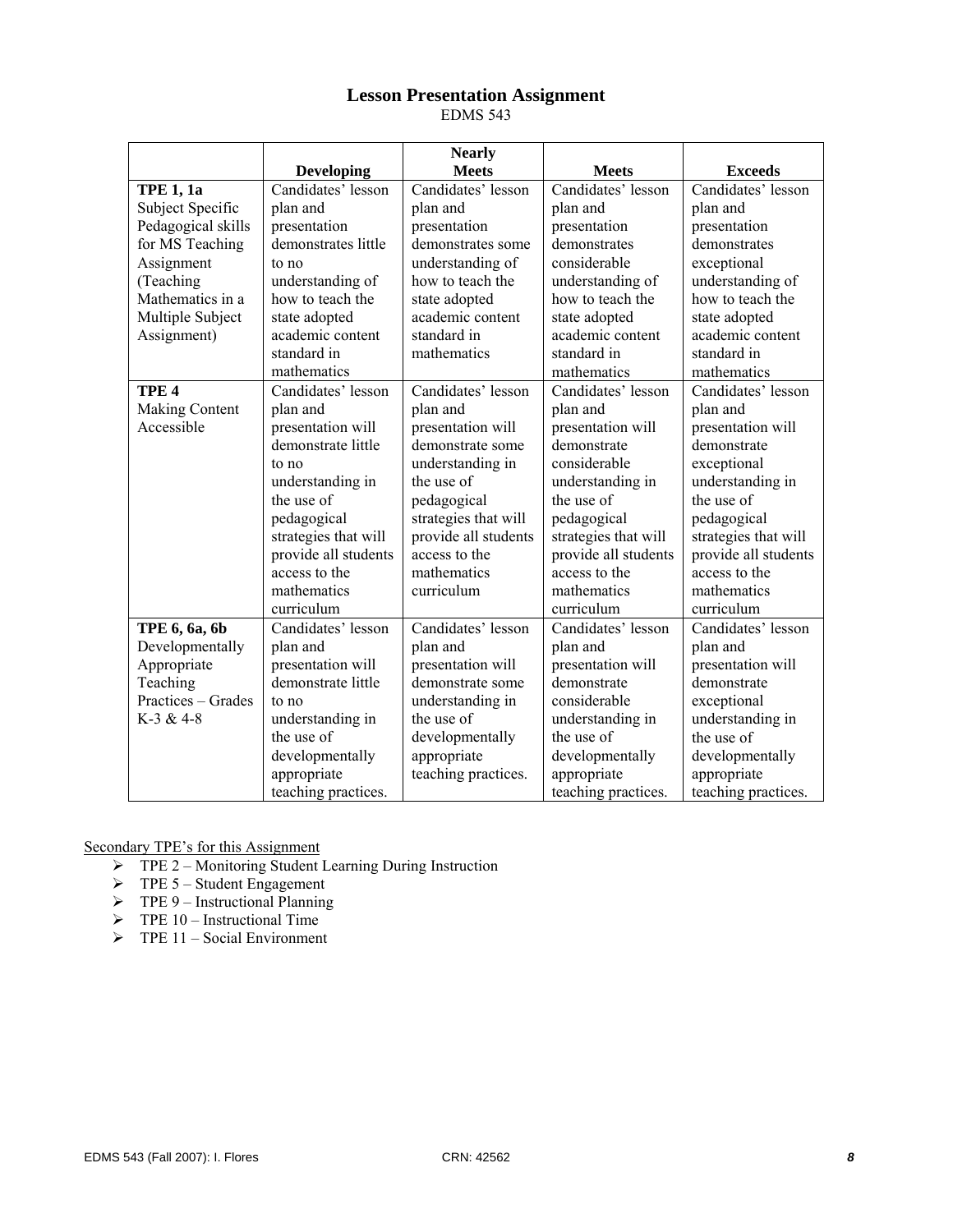#### **Lesson Presentation Assignment**

EDMS 543

|                       |                      | <b>Nearly</b>        |                                          |                      |
|-----------------------|----------------------|----------------------|------------------------------------------|----------------------|
|                       | <b>Developing</b>    | <b>Meets</b>         | <b>Meets</b>                             | <b>Exceeds</b>       |
| <b>TPE 1, 1a</b>      | Candidates' lesson   | Candidates' lesson   | Candidates' lesson<br>Candidates' lesson |                      |
| Subject Specific      | plan and             | plan and             | plan and                                 | plan and             |
| Pedagogical skills    | presentation         | presentation         | presentation                             | presentation         |
| for MS Teaching       | demonstrates little  | demonstrates some    | demonstrates                             | demonstrates         |
| Assignment            | to no                | understanding of     | considerable                             | exceptional          |
| (Teaching             | understanding of     | how to teach the     | understanding of                         | understanding of     |
| Mathematics in a      | how to teach the     | state adopted        | how to teach the                         | how to teach the     |
| Multiple Subject      | state adopted        | academic content     | state adopted                            | state adopted        |
| Assignment)           | academic content     | standard in          | academic content                         | academic content     |
|                       | standard in          | mathematics          | standard in                              | standard in          |
|                       | mathematics          |                      | mathematics                              | mathematics          |
| TPE <sub>4</sub>      | Candidates' lesson   | Candidates' lesson   | Candidates' lesson                       | Candidates' lesson   |
| <b>Making Content</b> | plan and             | plan and             | plan and                                 | plan and             |
| Accessible            | presentation will    | presentation will    | presentation will                        | presentation will    |
|                       | demonstrate little   | demonstrate some     | demonstrate                              | demonstrate          |
|                       | to no                | understanding in     | considerable                             | exceptional          |
|                       | understanding in     | the use of           | understanding in                         | understanding in     |
|                       | the use of           | pedagogical          | the use of                               | the use of           |
|                       | pedagogical          | strategies that will | pedagogical                              | pedagogical          |
|                       | strategies that will | provide all students | strategies that will                     | strategies that will |
|                       | provide all students | access to the        | provide all students                     | provide all students |
|                       | access to the        | mathematics          | access to the                            | access to the        |
|                       | mathematics          | curriculum           | mathematics                              | mathematics          |
|                       | curriculum           |                      | curriculum                               | curriculum           |
| TPE 6, 6a, 6b         | Candidates' lesson   | Candidates' lesson   | Candidates' lesson                       | Candidates' lesson   |
| Developmentally       | plan and             | plan and             | plan and                                 | plan and             |
| Appropriate           | presentation will    | presentation will    | presentation will                        | presentation will    |
| Teaching              | demonstrate little   | demonstrate some     | demonstrate                              | demonstrate          |
| Practices – Grades    | to no                | understanding in     | considerable                             | exceptional          |
| $K-3 & 4-8$           | understanding in     | the use of           | understanding in                         | understanding in     |
|                       | the use of           | developmentally      | the use of                               | the use of           |
|                       | developmentally      | appropriate          | developmentally                          | developmentally      |
|                       | appropriate          | teaching practices.  | appropriate                              | appropriate          |
|                       | teaching practices.  |                      | teaching practices.                      | teaching practices.  |

- ¾ TPE 2 Monitoring Student Learning During Instruction
- $\triangleright$  TPE 5 Student Engagement
- $\triangleright$  TPE 9 Instructional Planning
- $\triangleright$  TPE 10 Instructional Time
- $\triangleright$  TPE 11 Social Environment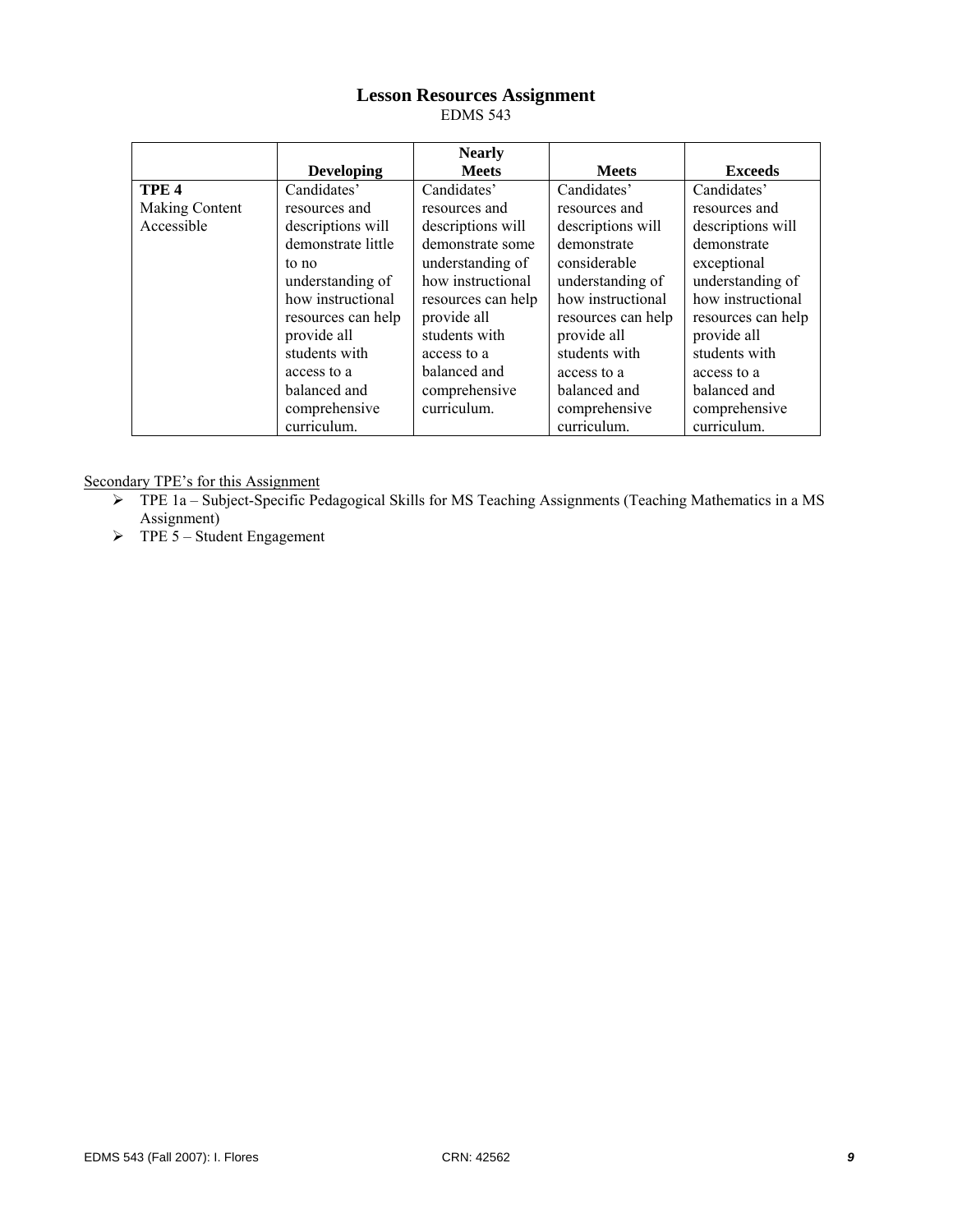## **Lesson Resources Assignment**

EDMS 543

|                  |                    | <b>Nearly</b>      |                    |                    |
|------------------|--------------------|--------------------|--------------------|--------------------|
|                  | <b>Developing</b>  | <b>Meets</b>       | <b>Meets</b>       | <b>Exceeds</b>     |
| TPE <sub>4</sub> | Candidates'        | Candidates'        | Candidates'        | Candidates'        |
| Making Content   | resources and      | resources and      | resources and      | resources and      |
| Accessible       | descriptions will  | descriptions will  | descriptions will  | descriptions will  |
|                  | demonstrate little | demonstrate some   | demonstrate        | demonstrate        |
|                  | to no              | understanding of   | considerable       | exceptional        |
|                  | understanding of   | how instructional  | understanding of   | understanding of   |
|                  | how instructional  | resources can help | how instructional  | how instructional  |
|                  | resources can help | provide all        | resources can help | resources can help |
|                  | provide all        | students with      | provide all        | provide all        |
|                  | students with      | access to a        | students with      | students with      |
|                  | access to a        | balanced and       | access to a        | access to a        |
|                  | balanced and       | comprehensive      | balanced and       | balanced and       |
|                  | comprehensive      | curriculum.        | comprehensive      | comprehensive      |
|                  | curriculum.        |                    | curriculum.        | curriculum.        |

- ¾ TPE 1a Subject-Specific Pedagogical Skills for MS Teaching Assignments (Teaching Mathematics in a MS Assignment)
- $\triangleright$  TPE 5 Student Engagement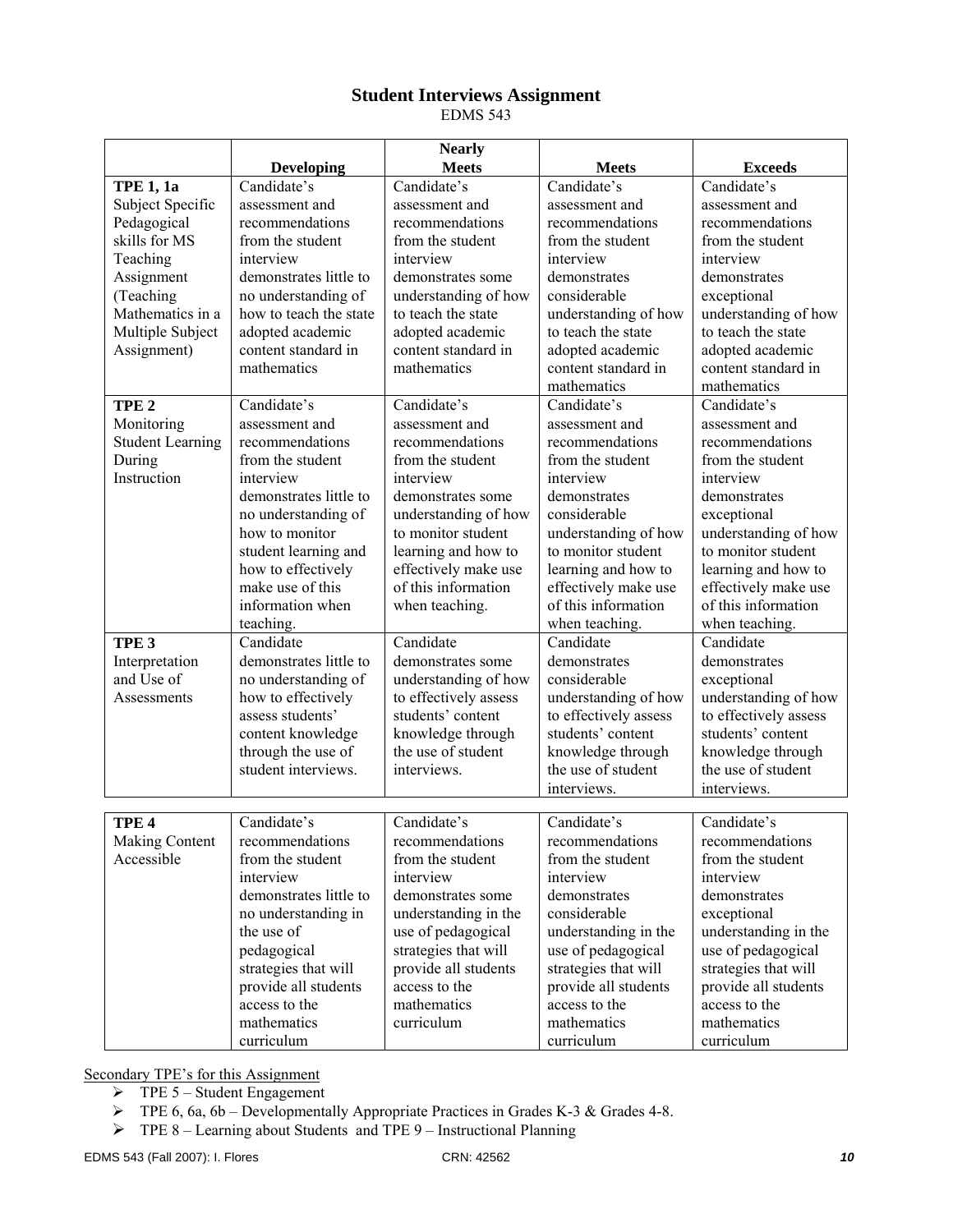#### **Student Interviews Assignment**

EDMS 543

|                         |                              | <b>Nearly</b>                |                              |                              |
|-------------------------|------------------------------|------------------------------|------------------------------|------------------------------|
|                         | <b>Developing</b>            | <b>Meets</b>                 | <b>Meets</b>                 | <b>Exceeds</b>               |
| <b>TPE 1, 1a</b>        | Candidate's                  | Candidate's                  | Candidate's                  | Candidate's                  |
| Subject Specific        | assessment and               | assessment and               | assessment and               | assessment and               |
| Pedagogical             | recommendations              | recommendations              | recommendations              | recommendations              |
| skills for MS           | from the student             | from the student             | from the student             | from the student             |
| Teaching                | interview                    | interview                    | interview                    | interview                    |
| Assignment              | demonstrates little to       | demonstrates some            | demonstrates                 | demonstrates                 |
| (Teaching               | no understanding of          | understanding of how         | considerable                 | exceptional                  |
| Mathematics in a        | how to teach the state       | to teach the state           | understanding of how         | understanding of how         |
| Multiple Subject        | adopted academic             | adopted academic             | to teach the state           | to teach the state           |
| Assignment)             | content standard in          | content standard in          | adopted academic             | adopted academic             |
|                         | mathematics                  | mathematics                  | content standard in          | content standard in          |
|                         |                              |                              | mathematics                  | mathematics                  |
| TPE <sub>2</sub>        | Candidate's                  | Candidate's                  | Candidate's                  | Candidate's                  |
| Monitoring              | assessment and               | assessment and               | assessment and               | assessment and               |
| <b>Student Learning</b> | recommendations              | recommendations              | recommendations              | recommendations              |
| During                  | from the student             | from the student             | from the student             | from the student             |
| Instruction             | interview                    | interview                    | interview                    | interview                    |
|                         | demonstrates little to       | demonstrates some            | demonstrates                 | demonstrates                 |
|                         | no understanding of          | understanding of how         | considerable                 | exceptional                  |
|                         | how to monitor               | to monitor student           | understanding of how         | understanding of how         |
|                         | student learning and         | learning and how to          | to monitor student           | to monitor student           |
|                         | how to effectively           | effectively make use         | learning and how to          | learning and how to          |
|                         | make use of this             | of this information          | effectively make use         | effectively make use         |
|                         | information when             | when teaching.               | of this information          | of this information          |
|                         | teaching.                    |                              | when teaching.               | when teaching.               |
| TPE <sub>3</sub>        | Candidate                    | Candidate                    | Candidate                    | Candidate                    |
| Interpretation          | demonstrates little to       | demonstrates some            | demonstrates                 | demonstrates                 |
| and Use of              | no understanding of          | understanding of how         | considerable                 | exceptional                  |
| Assessments             | how to effectively           | to effectively assess        | understanding of how         | understanding of how         |
|                         | assess students'             | students' content            | to effectively assess        | to effectively assess        |
|                         | content knowledge            | knowledge through            | students' content            | students' content            |
|                         | through the use of           | the use of student           | knowledge through            | knowledge through            |
|                         | student interviews.          | interviews.                  | the use of student           | the use of student           |
|                         |                              |                              | interviews.                  | interviews.                  |
|                         | Candidate's                  | Candidate's                  |                              | Candidate's                  |
| TPE <sub>4</sub>        |                              |                              | Candidate's                  |                              |
| Making Content          | recommendations              | recommendations              | recommendations              | recommendations              |
| Accessible              | from the student             | from the student             | from the student             | from the student             |
|                         | interview                    | interview                    | interview                    | interview                    |
|                         | demonstrates little to       | demonstrates some            | demonstrates<br>considerable | demonstrates                 |
|                         | no understanding in          | understanding in the         |                              | exceptional                  |
|                         | the use of                   | use of pedagogical           | understanding in the         | understanding in the         |
|                         | pedagogical                  | strategies that will         | use of pedagogical           | use of pedagogical           |
|                         | strategies that will         | provide all students         | strategies that will         | strategies that will         |
|                         | provide all students         | access to the<br>mathematics | provide all students         | provide all students         |
|                         | access to the<br>mathematics |                              | access to the<br>mathematics | access to the<br>mathematics |
|                         |                              | curriculum                   |                              |                              |
|                         | curriculum                   |                              | curriculum                   | curriculum                   |

- $\triangleright$  TPE 5 Student Engagement
- ¾ TPE 6, 6a, 6b Developmentally Appropriate Practices in Grades K-3 & Grades 4-8.
- ¾ TPE 8 Learning about Students and TPE 9 Instructional Planning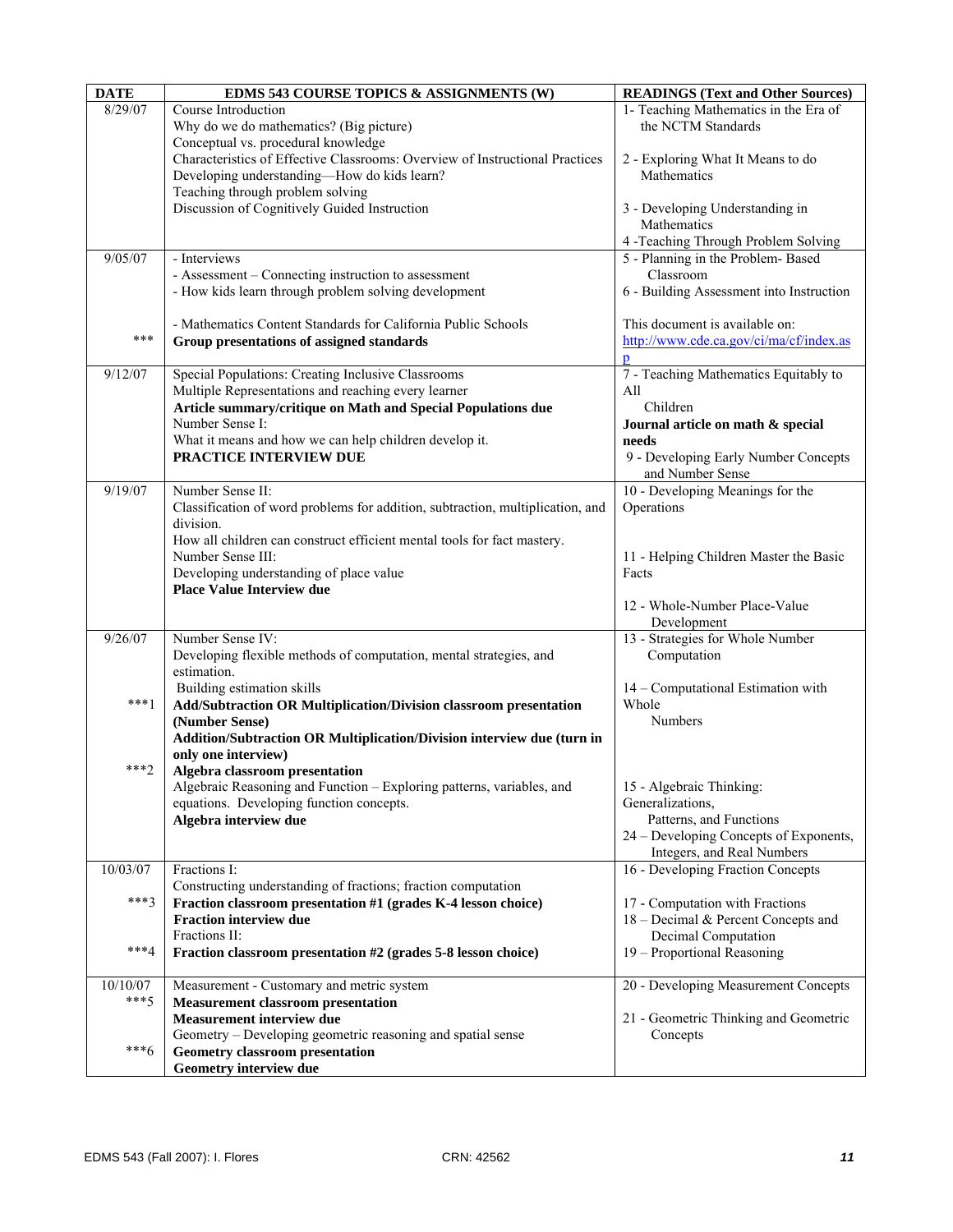| <b>DATE</b> | EDMS 543 COURSE TOPICS & ASSIGNMENTS (W)                                       | <b>READINGS (Text and Other Sources)</b> |
|-------------|--------------------------------------------------------------------------------|------------------------------------------|
| 8/29/07     | Course Introduction                                                            | 1- Teaching Mathematics in the Era of    |
|             | Why do we do mathematics? (Big picture)                                        | the NCTM Standards                       |
|             | Conceptual vs. procedural knowledge                                            |                                          |
|             | Characteristics of Effective Classrooms: Overview of Instructional Practices   | 2 - Exploring What It Means to do        |
|             | Developing understanding-How do kids learn?                                    | Mathematics                              |
|             | Teaching through problem solving                                               |                                          |
|             | Discussion of Cognitively Guided Instruction                                   | 3 - Developing Understanding in          |
|             |                                                                                | Mathematics                              |
|             |                                                                                | 4 -Teaching Through Problem Solving      |
| 9/05/07     | - Interviews                                                                   | 5 - Planning in the Problem-Based        |
|             | - Assessment – Connecting instruction to assessment                            | Classroom                                |
|             | - How kids learn through problem solving development                           | 6 - Building Assessment into Instruction |
|             |                                                                                |                                          |
|             | - Mathematics Content Standards for California Public Schools                  | This document is available on:           |
| $***$       | Group presentations of assigned standards                                      | http://www.cde.ca.gov/ci/ma/cf/index.as  |
|             |                                                                                |                                          |
| 9/12/07     | Special Populations: Creating Inclusive Classrooms                             | 7 - Teaching Mathematics Equitably to    |
|             | Multiple Representations and reaching every learner                            | All                                      |
|             | Article summary/critique on Math and Special Populations due                   | Children                                 |
|             | Number Sense I:                                                                | Journal article on math & special        |
|             | What it means and how we can help children develop it.                         | needs                                    |
|             | PRACTICE INTERVIEW DUE                                                         | 9 - Developing Early Number Concepts     |
|             |                                                                                | and Number Sense                         |
| 9/19/07     | Number Sense II:                                                               | 10 - Developing Meanings for the         |
|             | Classification of word problems for addition, subtraction, multiplication, and | Operations                               |
|             | division.                                                                      |                                          |
|             | How all children can construct efficient mental tools for fact mastery.        |                                          |
|             | Number Sense III:                                                              | 11 - Helping Children Master the Basic   |
|             | Developing understanding of place value                                        | Facts                                    |
|             | <b>Place Value Interview due</b>                                               |                                          |
|             |                                                                                | 12 - Whole-Number Place-Value            |
|             |                                                                                | Development                              |
| 9/26/07     | Number Sense IV:                                                               | 13 - Strategies for Whole Number         |
|             | Developing flexible methods of computation, mental strategies, and             | Computation                              |
|             | estimation.                                                                    |                                          |
|             | Building estimation skills                                                     | 14 - Computational Estimation with       |
| $***1$      | Add/Subtraction OR Multiplication/Division classroom presentation              | Whole                                    |
|             | (Number Sense)                                                                 | Numbers                                  |
|             | Addition/Subtraction OR Multiplication/Division interview due (turn in         |                                          |
|             | only one interview)                                                            |                                          |
| $***2$      | Algebra classroom presentation                                                 |                                          |
|             | Algebraic Reasoning and Function - Exploring patterns, variables, and          | 15 - Algebraic Thinking:                 |
|             | equations. Developing function concepts.                                       | Generalizations,                         |
|             | Algebra interview due                                                          | Patterns, and Functions                  |
|             |                                                                                | 24 – Developing Concepts of Exponents,   |
|             |                                                                                | Integers, and Real Numbers               |
| 10/03/07    | Fractions I:                                                                   | 16 - Developing Fraction Concepts        |
|             | Constructing understanding of fractions; fraction computation                  |                                          |
| $***3$      | Fraction classroom presentation #1 (grades K-4 lesson choice)                  | 17 - Computation with Fractions          |
|             | <b>Fraction interview due</b>                                                  | 18 – Decimal & Percent Concepts and      |
|             | Fractions II:                                                                  | Decimal Computation                      |
| $***4$      | Fraction classroom presentation #2 (grades 5-8 lesson choice)                  | 19 - Proportional Reasoning              |
|             |                                                                                |                                          |
| 10/10/07    | Measurement - Customary and metric system                                      | 20 - Developing Measurement Concepts     |
| $***5$      | <b>Measurement classroom presentation</b>                                      |                                          |
|             | Measurement interview due                                                      | 21 - Geometric Thinking and Geometric    |
|             | Geometry – Developing geometric reasoning and spatial sense                    | Concepts                                 |
| $***6$      | <b>Geometry classroom presentation</b>                                         |                                          |
|             | <b>Geometry interview due</b>                                                  |                                          |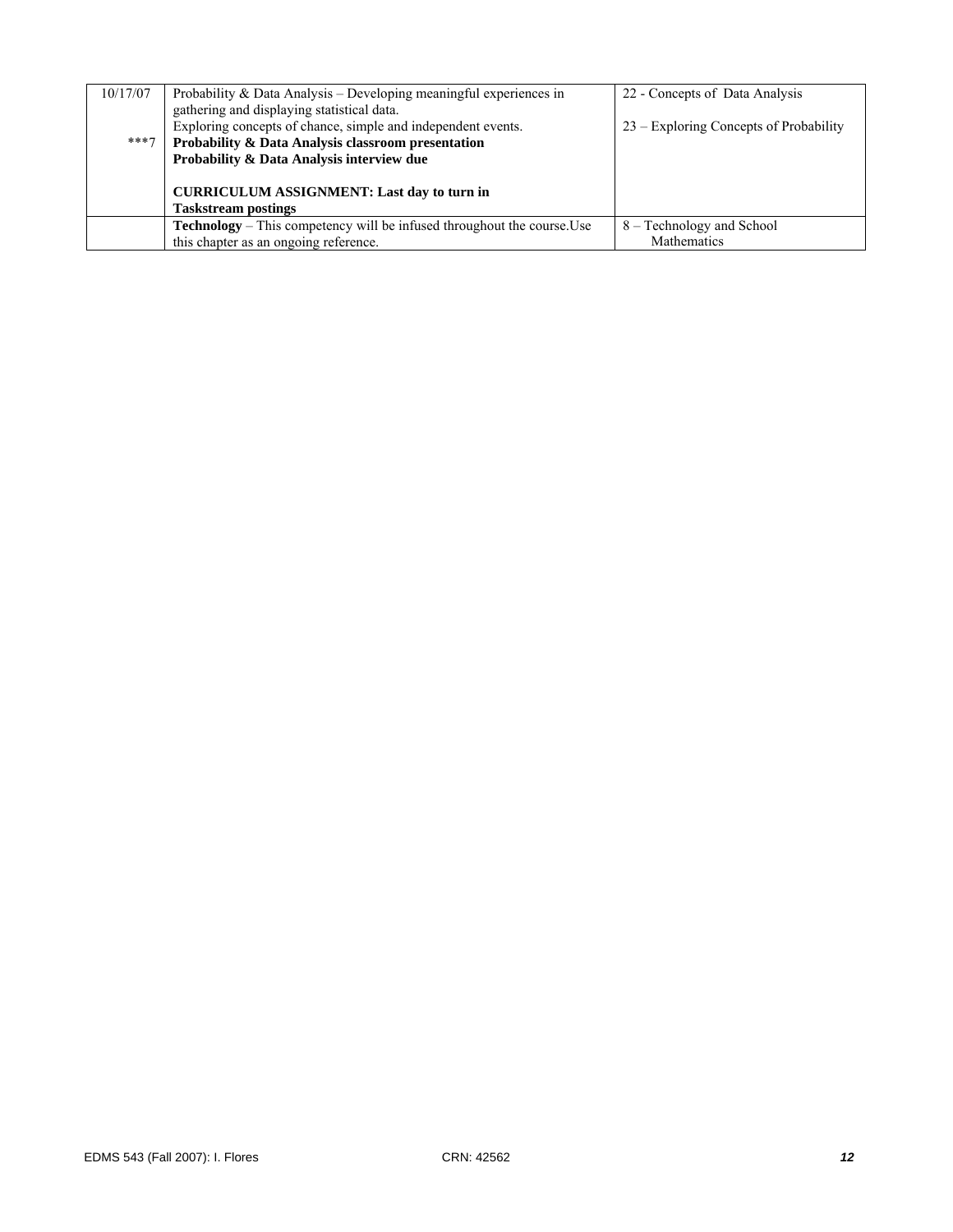| 10/17/07 | Probability $&$ Data Analysis – Developing meaningful experiences in           | 22 - Concepts of Data Analysis         |
|----------|--------------------------------------------------------------------------------|----------------------------------------|
|          | gathering and displaying statistical data.                                     |                                        |
|          | Exploring concepts of chance, simple and independent events.                   | 23 – Exploring Concepts of Probability |
| $***7$   | Probability & Data Analysis classroom presentation                             |                                        |
|          | Probability & Data Analysis interview due                                      |                                        |
|          |                                                                                |                                        |
|          | <b>CURRICULUM ASSIGNMENT: Last day to turn in</b>                              |                                        |
|          | <b>Taskstream postings</b>                                                     |                                        |
|          | <b>Technology</b> – This competency will be infused throughout the course. Use | 8 – Technology and School              |
|          | this chapter as an ongoing reference.                                          | Mathematics                            |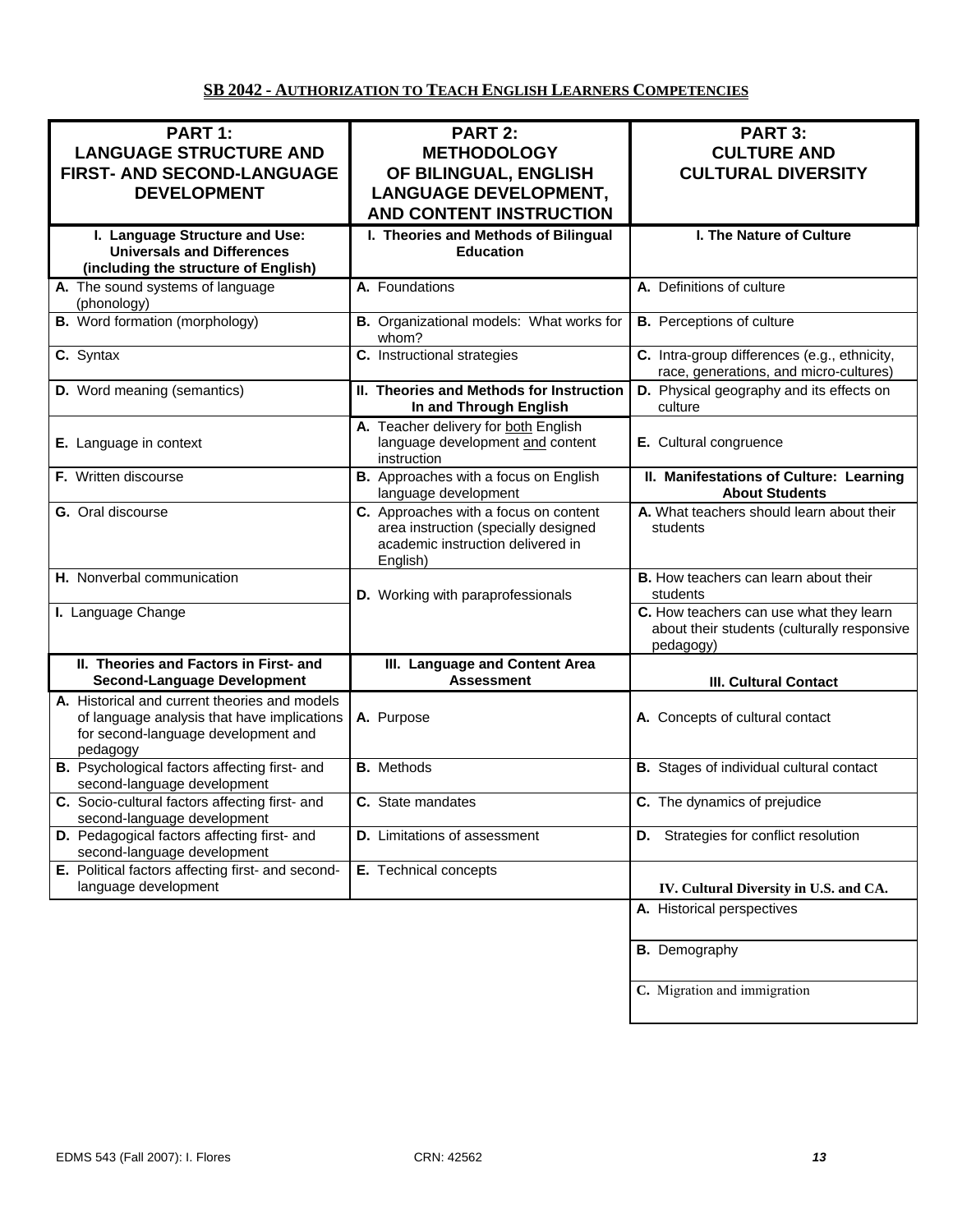# **SB 2042 - AUTHORIZATION TO TEACH ENGLISH LEARNERS COMPETENCIES**

| PART 1:<br><b>LANGUAGE STRUCTURE AND</b><br>FIRST- AND SECOND-LANGUAGE<br><b>DEVELOPMENT</b>                                                    | <b>PART 2:</b><br><b>METHODOLOGY</b><br>OF BILINGUAL, ENGLISH<br><b>LANGUAGE DEVELOPMENT,</b><br><b>AND CONTENT INSTRUCTION</b> | <b>PART 3:</b><br><b>CULTURE AND</b><br><b>CULTURAL DIVERSITY</b>                                   |
|-------------------------------------------------------------------------------------------------------------------------------------------------|---------------------------------------------------------------------------------------------------------------------------------|-----------------------------------------------------------------------------------------------------|
| I. Language Structure and Use:<br><b>Universals and Differences</b><br>(including the structure of English)                                     | I. Theories and Methods of Bilingual<br><b>Education</b>                                                                        | I. The Nature of Culture                                                                            |
| A. The sound systems of language<br>(phonology)                                                                                                 | A. Foundations                                                                                                                  | A. Definitions of culture                                                                           |
| <b>B.</b> Word formation (morphology)                                                                                                           | B. Organizational models: What works for<br>whom?                                                                               | <b>B.</b> Perceptions of culture                                                                    |
| C. Syntax                                                                                                                                       | C. Instructional strategies                                                                                                     | C. Intra-group differences (e.g., ethnicity,<br>race, generations, and micro-cultures)              |
| D. Word meaning (semantics)                                                                                                                     | II. Theories and Methods for Instruction<br>In and Through English                                                              | D. Physical geography and its effects on<br>culture                                                 |
| E. Language in context                                                                                                                          | A. Teacher delivery for both English<br>language development and content<br>instruction                                         | E. Cultural congruence                                                                              |
| F. Written discourse                                                                                                                            | B. Approaches with a focus on English<br>language development                                                                   | II. Manifestations of Culture: Learning<br><b>About Students</b>                                    |
| G. Oral discourse                                                                                                                               | C. Approaches with a focus on content<br>area instruction (specially designed<br>academic instruction delivered in<br>English)  | A. What teachers should learn about their<br>students                                               |
| H. Nonverbal communication                                                                                                                      | D. Working with paraprofessionals                                                                                               | B. How teachers can learn about their<br>students                                                   |
| I. Language Change                                                                                                                              |                                                                                                                                 | C. How teachers can use what they learn<br>about their students (culturally responsive<br>pedagogy) |
| II. Theories and Factors in First- and<br><b>Second-Language Development</b>                                                                    | III. Language and Content Area<br><b>Assessment</b>                                                                             | <b>III. Cultural Contact</b>                                                                        |
| A. Historical and current theories and models<br>of language analysis that have implications<br>for second-language development and<br>pedagogy | A. Purpose                                                                                                                      | A. Concepts of cultural contact                                                                     |
| B. Psychological factors affecting first- and<br>second-language development                                                                    | <b>B.</b> Methods                                                                                                               | <b>B.</b> Stages of individual cultural contact                                                     |
| C. Socio-cultural factors affecting first- and<br>second-language development                                                                   | C. State mandates                                                                                                               | C. The dynamics of prejudice                                                                        |
| D. Pedagogical factors affecting first- and<br>second-language development                                                                      | <b>D.</b> Limitations of assessment                                                                                             | <b>D.</b> Strategies for conflict resolution                                                        |
| E. Political factors affecting first- and second-<br>language development                                                                       | E. Technical concepts                                                                                                           | IV. Cultural Diversity in U.S. and CA.                                                              |
|                                                                                                                                                 |                                                                                                                                 | A. Historical perspectives                                                                          |
|                                                                                                                                                 |                                                                                                                                 | <b>B.</b> Demography                                                                                |
|                                                                                                                                                 |                                                                                                                                 | C. Migration and immigration                                                                        |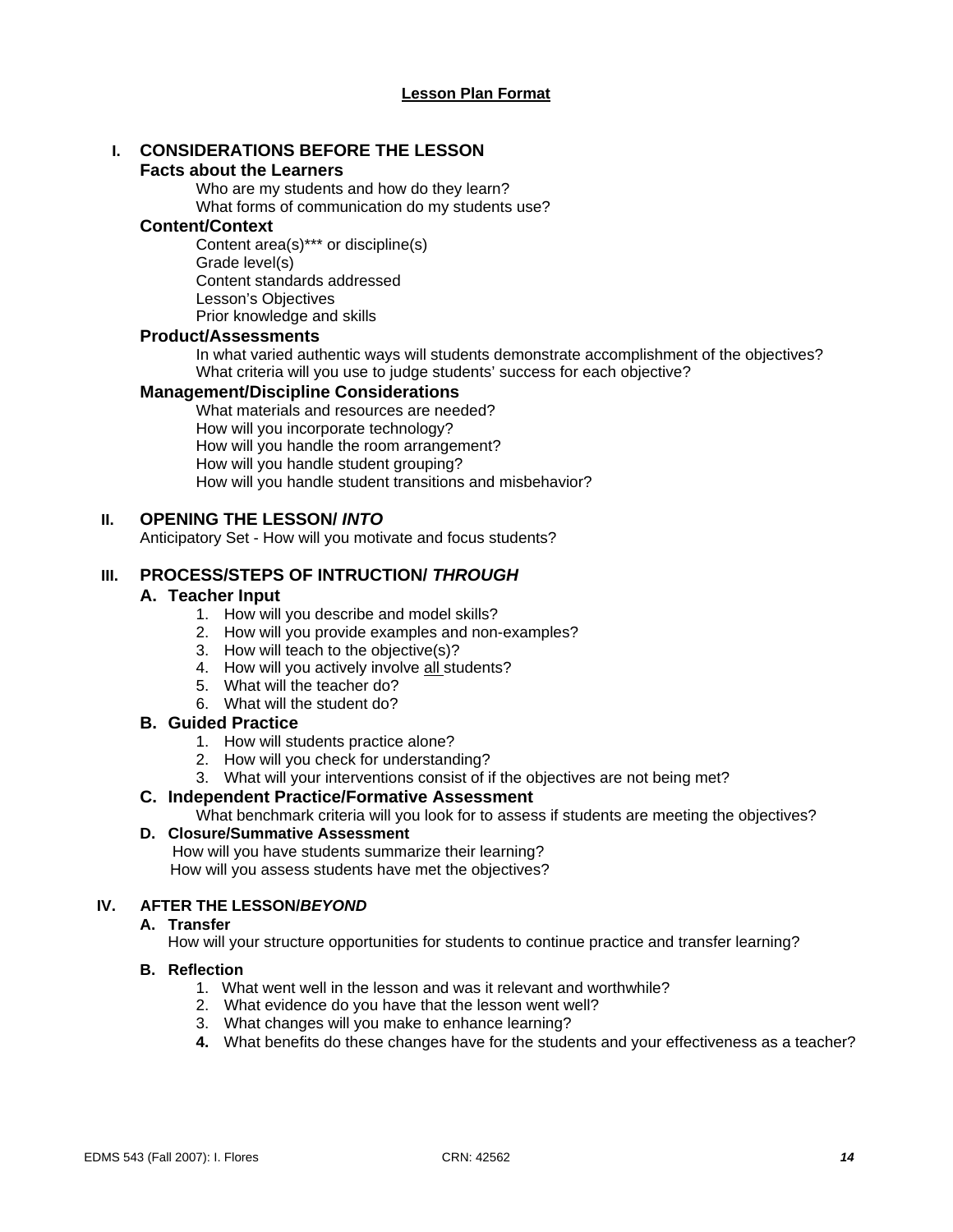# **I. CONSIDERATIONS BEFORE THE LESSON**

#### **Facts about the Learners**

Who are my students and how do they learn? What forms of communication do my students use?

#### **Content/Context**

Content area(s)\*\*\* or discipline(s) Grade level(s) Content standards addressed Lesson's Objectives Prior knowledge and skills

#### **Product/Assessments**

In what varied authentic ways will students demonstrate accomplishment of the objectives? What criteria will you use to judge students' success for each objective?

#### **Management/Discipline Considerations**

What materials and resources are needed? How will you incorporate technology? How will you handle the room arrangement? How will you handle student grouping? How will you handle student transitions and misbehavior?

#### **II. OPENING THE LESSON/** *INTO*

Anticipatory Set - How will you motivate and focus students?

#### **III. PROCESS/STEPS OF INTRUCTION/** *THROUGH*

#### **A. Teacher Input**

- 1. How will you describe and model skills?
- 2. How will you provide examples and non-examples?
- 3. How will teach to the objective(s)?
- 4. How will you actively involve all students?
- 5. What will the teacher do?
- 6. What will the student do?

#### **B. Guided Practice**

- 1. How will students practice alone?
- 2. How will you check for understanding?
- 3. What will your interventions consist of if the objectives are not being met?

#### **C. Independent Practice/Formative Assessment**

What benchmark criteria will you look for to assess if students are meeting the objectives?

#### **D. Closure/Summative Assessment**

 How will you have students summarize their learning? How will you assess students have met the objectives?

#### **IV. AFTER THE LESSON/***BEYOND*

#### **A. Transfer**

How will your structure opportunities for students to continue practice and transfer learning?

#### **B. Reflection**

- 1. What went well in the lesson and was it relevant and worthwhile?
- 2. What evidence do you have that the lesson went well?
- 3. What changes will you make to enhance learning?
- **4.** What benefits do these changes have for the students and your effectiveness as a teacher?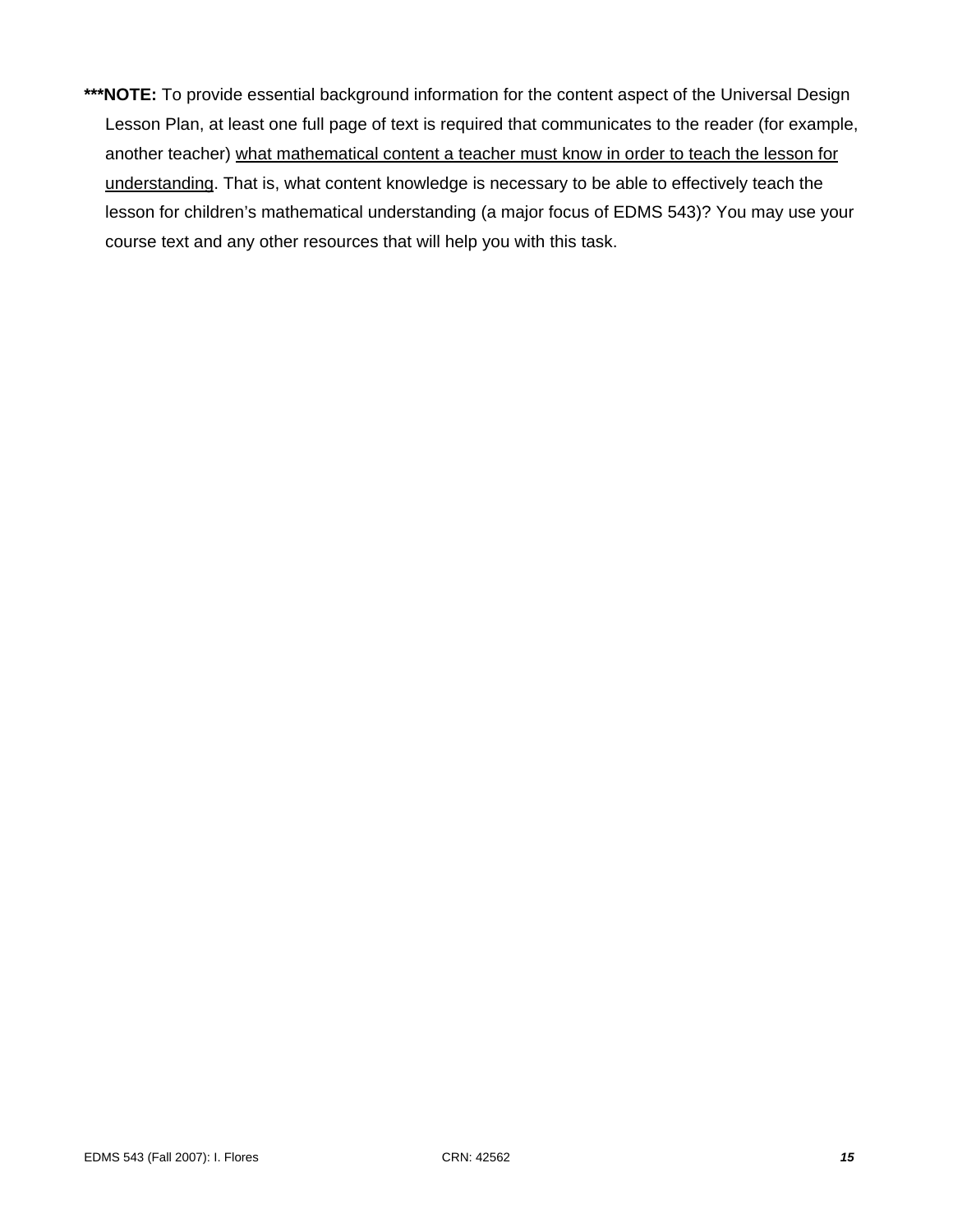**\*\*\*NOTE:** To provide essential background information for the content aspect of the Universal Design Lesson Plan, at least one full page of text is required that communicates to the reader (for example, another teacher) what mathematical content a teacher must know in order to teach the lesson for understanding. That is, what content knowledge is necessary to be able to effectively teach the lesson for children's mathematical understanding (a major focus of EDMS 543)? You may use your course text and any other resources that will help you with this task.